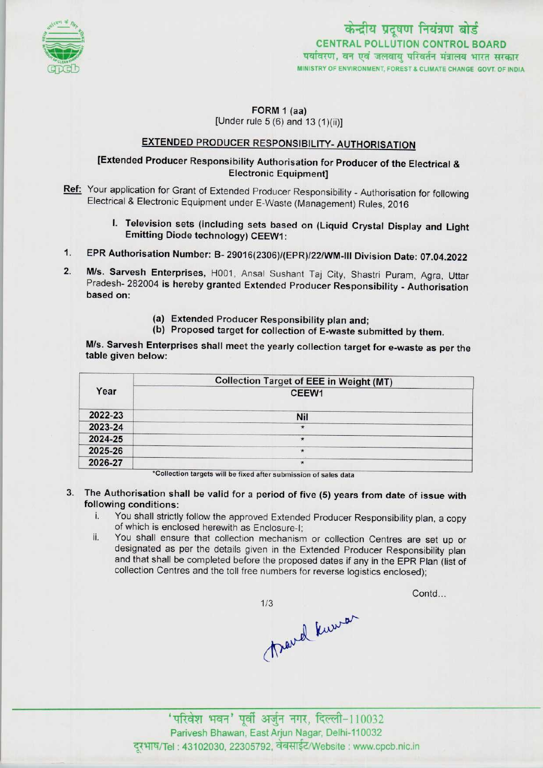

### FORM 1 (aa) [Under rule  $5(6)$  and  $13(1)(ii)$ ]

# EXTENDED PRODUCER RESPONSIBILITY- AUTHORISATION

# [Extended Producer Responsibility Authorisation for Producer of the Electrical & Electronic Equipment]

- Ref: Your application for Grant of Extended Producer Responsibility Authorisation for following Electrical & Electronic Equipment under E-Waste (Management) Rules, 2016
- I. Television sets (including sets based on (Liquid Crystal Display and Light Emitting Diode technology) CEEW1: 1. Television sets (including sets based on (Liquid Crystal Display and Ligh<br>Emitting Diode technology) CEEW1:<br>1. EPR Authorisation Number: B- 29016(2306)/(EPR)/22/WM-III Division Date: 07.04.2022
- 
- 1. EPR Authorisation Number: B- 29016(2306)/(EPR)/22/WM-III Division Date: 07.04.2022<br>2. M/s. Sarvesh Enterprises, H001, Ansal Sushant Taj City, Shastri Puram, Agra, Uttar M/s. Sarvesh Enterprises, H001, Ansal Sushant Taj City, Shastri Puram, Agra, Uttar<br>Pradesh- 282004 is hereby granted Extended Producer Responsibility - Authorisation based on:
	- (a) Extended Producer Responsibility plan and;
	- (b) Proposed target for collection of E-waste submitted by them.

M/s. Sarvesh Enterprises shall meet the yearly collection target for e-waste as per the table given below:

|         | <b>Collection Target of EEE in Weight (MT)</b> |
|---------|------------------------------------------------|
| Year    | CEEW1                                          |
| 2022-23 | Nil                                            |
| 2023-24 | $\star$                                        |
| 2024-25 | $\star$                                        |
| 2025-26 | $\star$                                        |
| 2026-27 | $\star$                                        |

\*Collection targets will be fixed after submission of sales data

- 3. The Authorisation shall be valid for a period of five (5) years from date of issue with following conditions:
	- i. You shall strictly follow the approved Extended Producer Responsibility plan, <sup>a</sup> copy of which is enclosed herewith as Enclosure-I;
	- ii. You shall ensure that collection mechanism or collection Centres are set up or designated as per the details given in the Extended Producer Responsibility plan and that shall be completed before the proposed dates if any in the EPR Plan (list of collection Centres and the toll free numbers for reverse logistics enclosed);

 $1/3$ Travel kuner

Contd...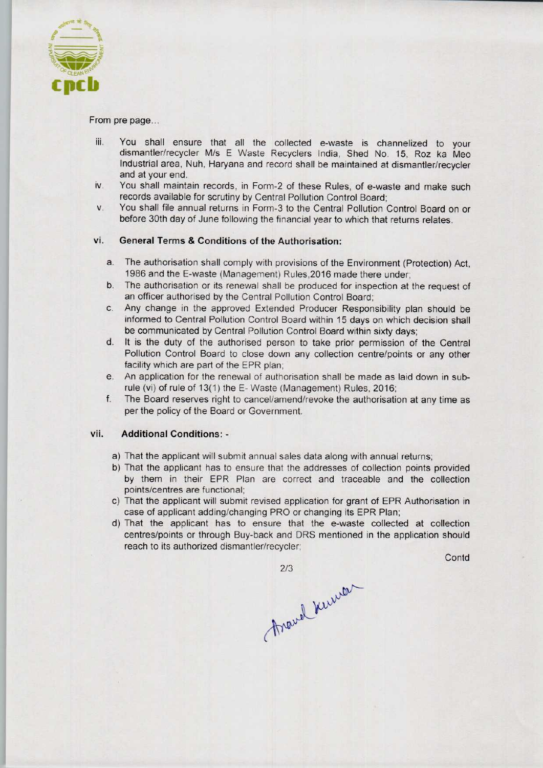

From pre page...

- iii. You shall ensure that all the collected e-waste is channelized to your dismantler/recycler M/s E Waste Recyclers India, Shed No. 15, Roz ka Meo Industrial area, Nuh, Haryana and record shall be maintained at dismantler/recycler and at your end.
- iv. You shall maintain records, in Form-2 of these Rules, of e-waste and make such records available for scrutiny by Central Pollution Control Board;
- v. You shall file annual returns in Form-3 to the Central Pollution Control Board on or before 30th day of June following the financial year to which that returns relates.

## vi. General Terms & Conditions of the Authorisation:

- a.The authorisation shall comply with provisions ofthe Environment (Protection) Act, 1986 and the E-waste (Management) Rules,2016 made there under;
- b.The authorisation or its renewal shall be produced for inspection at the request of an officer authorised by the Central Pollution Control Board;
- c.Any change in the approved Extended Producer Responsibility plan should be informed to Central Pollution Control Board within 15 days on which decision shall be communicated by Central Pollution Control Board within sixty days;
- d. It is the duty of the authorised person to take prior permission of the Central Pollution Control Board to close down any collection centre/points or any other facility which are part of the EPR plan;
- e. An application for the renewal of authorisation shall be made as laid down in subrule (vi) of rule of 13(1) the E-Waste (Management) Rules, 2016;
- f.The Board reserves right to cancel/amend/revoke the authorisation at any time as per the policy of the Board or Government.

#### vii. Additional Conditions: •

- a) That the applicant will submit annual sales data along with annual returns;
- b)That the applicant has to ensure that the addresses of collection points provided by them in their EPR Plan are correct and traceable and the collection points/centres are functional;
- c) That the applicant will submit revised application for grant of EPR Authorisation in case of applicant adding/changing PRO or changing its EPR Plan;
- d)That the applicant has to ensure that the e-waste collected at collection centres/points or through Buy-back and DRS mentioned in the application should reach to its authorized dismantler/recycler;

**Contd** 

2/3<br>Avand Kurrer